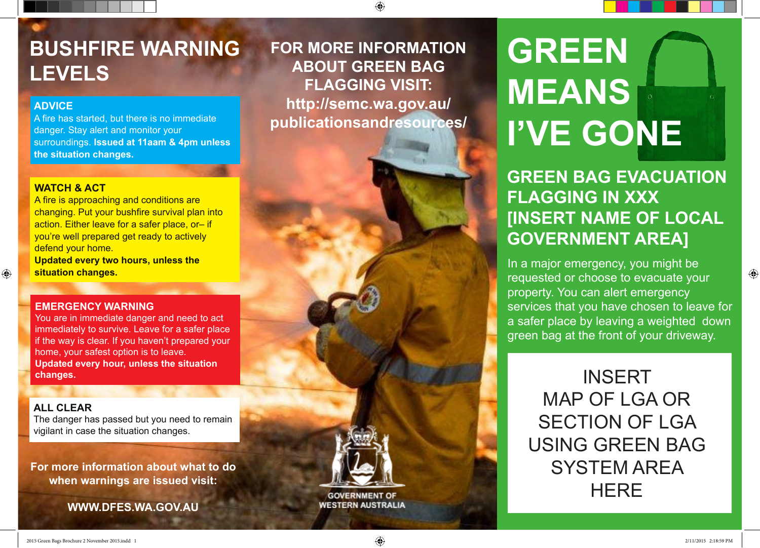## **BUSHFIRE WARNING LEVELS**

#### **ADVICE**

A fire has started, but there is no immediate danger. Stay alert and monitor your surroundings. **Issued at 11aam & 4pm unless the situation changes.**

#### **WATCH & ACT**

A fire is approaching and conditions are changing. Put your bushfire survival plan into action. Either leave for a safer place, or- if you're well prepared get ready to actively defend your home.

**Updated every two hours, unless the situation changes.**

#### **EMERGENCY WARNING**

You are in immediate danger and need to act immediately to survive. Leave for a safer place if the way is clear. If you haven't prepared your home, your safest option is to leave. **Updated every hour, unless the situation changes.**

#### **ALL CLEAR**

The danger has passed but you need to remain vigilant in case the situation changes.

For more information about what to do **when warnings are issued visit:** 

For more information about what to do

**WWW.DFES.WA.GOV.AU**

**FOR MORE INFORMATION ABOUT GREEN BAG FLAGGING VISIT: [http://semc.wa.gov.au/](http://semc.wa.gov.au/publicationsandresources/) [publicationsandresources/](http://semc.wa.gov.au/publicationsandresources/)**

# **GREEN MEANS I'VE GONE**

### **GREEN BAG EVACUATION FLAGGING IN XXX [INSERT NAME OF LOCAL GOVERNMENT AREA]**

In a major emergency, you might be requested or choose to evacuate your property. You can alert emergency services that you have chosen to leave for a safer place by leaving a weighted down green bag at the front of your driveway.

INSERT MAP OF LGA OR SECTION OF LGA USING GREEN BAG SYSTEM AREA **HERE** 

**GOVERNMENT OF WESTERN AUSTRALIA** 

 $\bigoplus$ 

 $\bigoplus$